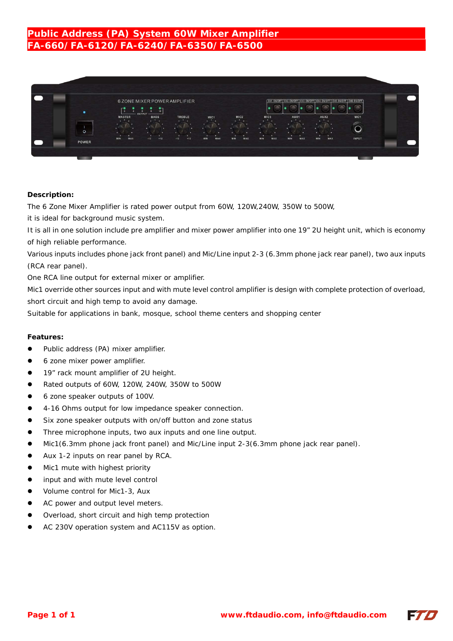# **Public Address (PA) System 60W Mixer Amplifier FA-660/FA-6120/FA-6240/FA-6350/FA-6500**



### **Description:**

The 6 Zone Mixer Amplifier is rated power output from 60W, 120W,240W, 350W to 500W,

it is ideal for background music system.

It is all in one solution include pre amplifier and mixer power amplifier into one 19" 2U height unit, which is economy of high reliable performance.

Various inputs includes phone jack front panel) and Mic/Line input 2-3 (6.3mm phone jack rear panel), two aux inputs (RCA rear panel).

One RCA line output for external mixer or amplifier.

Mic1 override other sources input and with mute level control amplifier is design with complete protection of overload, short circuit and high temp to avoid any damage.

Suitable for applications in bank, mosque, school theme centers and shopping center

#### **Features:**

- Public address (PA) mixer amplifier.
- 6 zone mixer power amplifier.
- 19" rack mount amplifier of 2U height.
- Rated outputs of 60W, 120W, 240W, 350W to 500W
- 6 zone speaker outputs of 100V.
- 4-16 Ohms output for low impedance speaker connection.
- Six zone speaker outputs with on/off button and zone status
- Three microphone inputs, two aux inputs and one line output.
- Mic1(6.3mm phone jack front panel) and Mic/Line input 2-3(6.3mm phone jack rear panel).
- Aux 1-2 inputs on rear panel by RCA.
- Mic1 mute with highest priority
- input and with mute level control
- Volume control for Mic1-3, Aux
- AC power and output level meters.
- Overload, short circuit and high temp protection
- AC 230V operation system and AC115V as option.